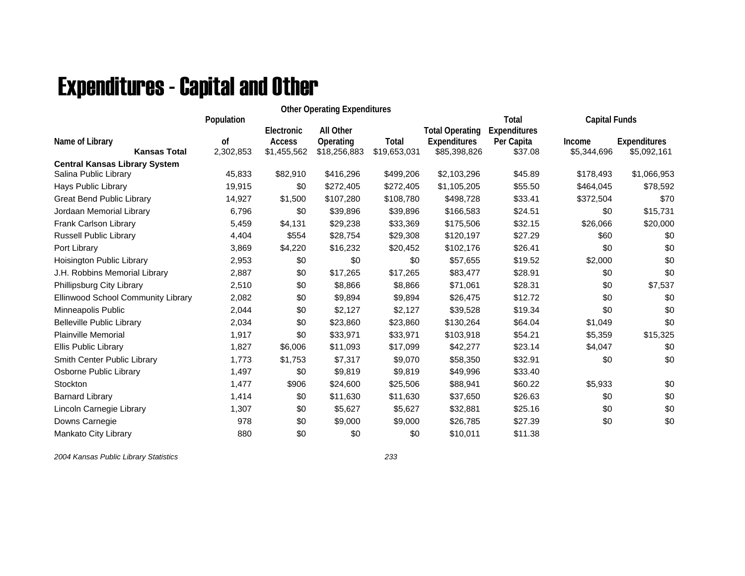## Expenditures - Capital and Other

|                                           |               |             | <b>Other Operating Expenditures</b> |              |                        |              |                      |                     |
|-------------------------------------------|---------------|-------------|-------------------------------------|--------------|------------------------|--------------|----------------------|---------------------|
|                                           | Population    |             |                                     |              |                        | <b>Total</b> | <b>Capital Funds</b> |                     |
|                                           |               | Electronic  | All Other                           |              | <b>Total Operating</b> | Expenditures |                      |                     |
| Name of Library                           | <sub>of</sub> | Access      | Operating                           | Total        | <b>Expenditures</b>    | Per Capita   | Income               | <b>Expenditures</b> |
| <b>Kansas Total</b>                       | 2,302,853     | \$1,455,562 | \$18,256,883                        | \$19,653,031 | \$85,398,826           | \$37.08      | \$5,344,696          | \$5,092,161         |
| <b>Central Kansas Library System</b>      |               |             |                                     |              |                        |              |                      |                     |
| Salina Public Library                     | 45,833        | \$82,910    | \$416,296                           | \$499,206    | \$2,103,296            | \$45.89      | \$178,493            | \$1,066,953         |
| Hays Public Library                       | 19,915        | \$0         | \$272,405                           | \$272,405    | \$1,105,205            | \$55.50      | \$464,045            | \$78,592            |
| <b>Great Bend Public Library</b>          | 14,927        | \$1,500     | \$107,280                           | \$108,780    | \$498,728              | \$33.41      | \$372,504            | \$70                |
| Jordaan Memorial Library                  | 6,796         | \$0         | \$39,896                            | \$39,896     | \$166,583              | \$24.51      | \$0                  | \$15,731            |
| Frank Carlson Library                     | 5,459         | \$4,131     | \$29,238                            | \$33,369     | \$175,506              | \$32.15      | \$26,066             | \$20,000            |
| Russell Public Library                    | 4,404         | \$554       | \$28,754                            | \$29,308     | \$120,197              | \$27.29      | \$60                 | \$0                 |
| Port Library                              | 3,869         | \$4,220     | \$16,232                            | \$20,452     | \$102,176              | \$26.41      | \$0                  | \$0                 |
| Hoisington Public Library                 | 2,953         | \$0         | \$0                                 | \$0          | \$57,655               | \$19.52      | \$2,000              | \$0                 |
| J.H. Robbins Memorial Library             | 2,887         | \$0         | \$17,265                            | \$17,265     | \$83,477               | \$28.91      | \$0                  | \$0                 |
| Phillipsburg City Library                 | 2,510         | \$0         | \$8,866                             | \$8,866      | \$71,061               | \$28.31      | \$0                  | \$7,537             |
| <b>Ellinwood School Community Library</b> | 2,082         | \$0         | \$9,894                             | \$9,894      | \$26,475               | \$12.72      | \$0                  | \$0                 |
| Minneapolis Public                        | 2,044         | \$0         | \$2,127                             | \$2,127      | \$39,528               | \$19.34      | \$0                  | \$0                 |
| <b>Belleville Public Library</b>          | 2,034         | \$0         | \$23,860                            | \$23,860     | \$130,264              | \$64.04      | \$1,049              | \$0                 |
| <b>Plainville Memorial</b>                | 1,917         | \$0         | \$33,971                            | \$33,971     | \$103,918              | \$54.21      | \$5,359              | \$15,325            |
| Ellis Public Library                      | 1,827         | \$6,006     | \$11,093                            | \$17,099     | \$42,277               | \$23.14      | \$4,047              | \$0                 |
| Smith Center Public Library               | 1,773         | \$1,753     | \$7,317                             | \$9,070      | \$58,350               | \$32.91      | \$0                  | \$0                 |
| Osborne Public Library                    | 1,497         | \$0         | \$9,819                             | \$9,819      | \$49,996               | \$33.40      |                      |                     |
| Stockton                                  | 1,477         | \$906       | \$24,600                            | \$25,506     | \$88,941               | \$60.22      | \$5,933              | \$0                 |
| <b>Barnard Library</b>                    | 1,414         | \$0         | \$11,630                            | \$11,630     | \$37,650               | \$26.63      | \$0                  | \$0                 |
| Lincoln Carnegie Library                  | 1,307         | \$0         | \$5,627                             | \$5,627      | \$32,881               | \$25.16      | \$0                  | \$0                 |
| Downs Carnegie                            | 978           | \$0         | \$9,000                             | \$9,000      | \$26,785               | \$27.39      | \$0                  | \$0                 |
| Mankato City Library                      | 880           | \$0         | \$0                                 | \$0          | \$10,011               | \$11.38      |                      |                     |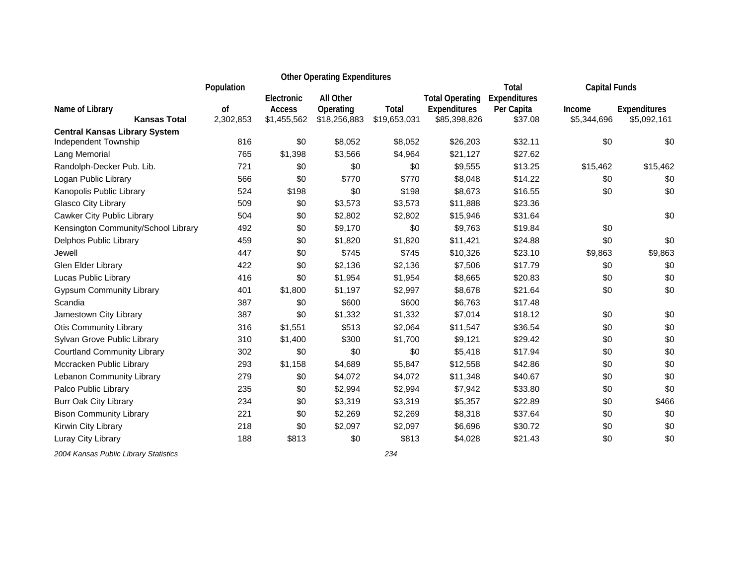|                                        |                 |                              | <b>Other Operating Expenditures</b> |                       |                                     |                       |                       |                                    |  |
|----------------------------------------|-----------------|------------------------------|-------------------------------------|-----------------------|-------------------------------------|-----------------------|-----------------------|------------------------------------|--|
|                                        | Population      | Electronic                   | All Other                           |                       | <b>Total Operating</b>              | Total<br>Expenditures | <b>Capital Funds</b>  |                                    |  |
| Name of Library<br><b>Kansas Total</b> | 0f<br>2,302,853 | <b>Access</b><br>\$1,455,562 | Operating<br>\$18,256,883           | Total<br>\$19,653,031 | <b>Expenditures</b><br>\$85,398,826 | Per Capita<br>\$37.08 | Income<br>\$5,344,696 | <b>Expenditures</b><br>\$5,092,161 |  |
| <b>Central Kansas Library System</b>   |                 |                              |                                     |                       |                                     |                       |                       |                                    |  |
| Independent Township                   | 816             | \$0                          | \$8,052                             | \$8,052               | \$26,203                            | \$32.11               | \$0                   | \$0                                |  |
| Lang Memorial                          | 765             | \$1,398                      | \$3,566                             | \$4,964               | \$21,127                            | \$27.62               |                       |                                    |  |
| Randolph-Decker Pub. Lib.              | 721             | \$0                          | \$0                                 | \$0                   | \$9,555                             | \$13.25               | \$15,462              | \$15,462                           |  |
| Logan Public Library                   | 566             | \$0                          | \$770                               | \$770                 | \$8,048                             | \$14.22               | \$0                   | \$0                                |  |
| Kanopolis Public Library               | 524             | \$198                        | \$0                                 | \$198                 | \$8,673                             | \$16.55               | \$0                   | \$0                                |  |
| Glasco City Library                    | 509             | \$0                          | \$3,573                             | \$3,573               | \$11,888                            | \$23.36               |                       |                                    |  |
| Cawker City Public Library             | 504             | \$0                          | \$2,802                             | \$2,802               | \$15,946                            | \$31.64               |                       | \$0                                |  |
| Kensington Community/School Library    | 492             | \$0                          | \$9,170                             | \$0                   | \$9,763                             | \$19.84               | \$0                   |                                    |  |
| Delphos Public Library                 | 459             | \$0                          | \$1,820                             | \$1,820               | \$11,421                            | \$24.88               | \$0                   | \$0                                |  |
| Jewell                                 | 447             | \$0                          | \$745                               | \$745                 | \$10,326                            | \$23.10               | \$9,863               | \$9,863                            |  |
| Glen Elder Library                     | 422             | \$0                          | \$2,136                             | \$2,136               | \$7,506                             | \$17.79               | \$0                   | \$0                                |  |
| Lucas Public Library                   | 416             | \$0                          | \$1,954                             | \$1,954               | \$8,665                             | \$20.83               | \$0                   | \$0                                |  |
| <b>Gypsum Community Library</b>        | 401             | \$1,800                      | \$1,197                             | \$2,997               | \$8,678                             | \$21.64               | \$0                   | \$0                                |  |
| Scandia                                | 387             | \$0                          | \$600                               | \$600                 | \$6,763                             | \$17.48               |                       |                                    |  |
| Jamestown City Library                 | 387             | \$0                          | \$1,332                             | \$1,332               | \$7,014                             | \$18.12               | \$0                   | \$0                                |  |
| <b>Otis Community Library</b>          | 316             | \$1,551                      | \$513                               | \$2,064               | \$11,547                            | \$36.54               | \$0                   | \$0                                |  |
| Sylvan Grove Public Library            | 310             | \$1,400                      | \$300                               | \$1,700               | \$9,121                             | \$29.42               | \$0                   | \$0                                |  |
| <b>Courtland Community Library</b>     | 302             | \$0                          | \$0                                 | \$0                   | \$5,418                             | \$17.94               | \$0                   | \$0                                |  |
| Mccracken Public Library               | 293             | \$1,158                      | \$4,689                             | \$5,847               | \$12,558                            | \$42.86               | \$0                   | \$0                                |  |
| Lebanon Community Library              | 279             | \$0                          | \$4,072                             | \$4,072               | \$11,348                            | \$40.67               | \$0                   | \$0                                |  |
| Palco Public Library                   | 235             | \$0                          | \$2,994                             | \$2,994               | \$7,942                             | \$33.80               | \$0                   | \$0                                |  |
| <b>Burr Oak City Library</b>           | 234             | \$0                          | \$3,319                             | \$3,319               | \$5,357                             | \$22.89               | \$0                   | \$466                              |  |
| <b>Bison Community Library</b>         | 221             | \$0                          | \$2,269                             | \$2,269               | \$8,318                             | \$37.64               | \$0                   | \$0                                |  |
| Kirwin City Library                    | 218             | \$0                          | \$2,097                             | \$2,097               | \$6,696                             | \$30.72               | \$0                   | \$0                                |  |
| Luray City Library                     | 188             | \$813                        | \$0                                 | \$813                 | \$4,028                             | \$21.43               | \$0                   | \$0                                |  |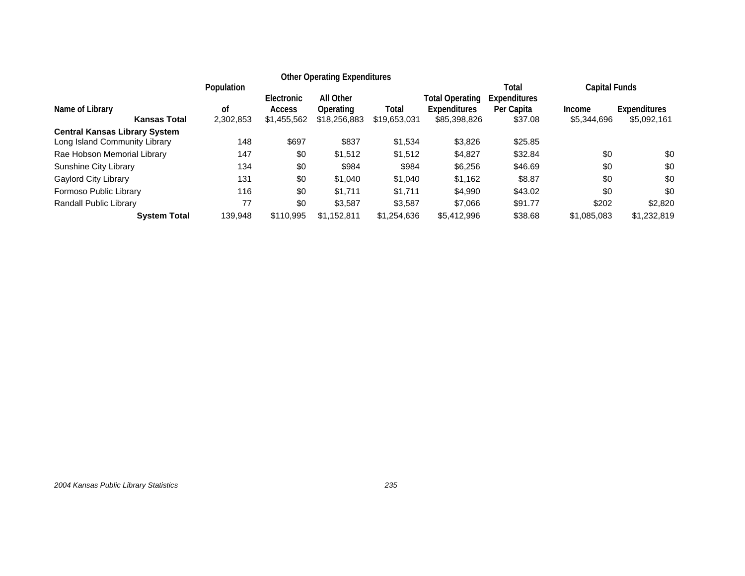|                                                                       |                               |                                            | <b>Other Operating Expenditures</b>    |                       |                                                        |                                                |                                                      |                                    |
|-----------------------------------------------------------------------|-------------------------------|--------------------------------------------|----------------------------------------|-----------------------|--------------------------------------------------------|------------------------------------------------|------------------------------------------------------|------------------------------------|
| Name of Library<br><b>Kansas Total</b>                                | Population<br>οf<br>2,302,853 | Electronic<br><b>Access</b><br>\$1,455,562 | All Other<br>Operating<br>\$18,256,883 | Total<br>\$19,653,031 | Total Operating<br><b>Expenditures</b><br>\$85,398,826 | Total<br>Expenditures<br>Per Capita<br>\$37.08 | <b>Capital Funds</b><br><b>Income</b><br>\$5,344,696 | <b>Expenditures</b><br>\$5,092,161 |
| <b>Central Kansas Library System</b><br>Long Island Community Library | 148                           | \$697                                      | \$837                                  | \$1,534               | \$3,826                                                | \$25.85                                        |                                                      |                                    |
| Rae Hobson Memorial Library                                           | 147                           | \$0                                        | \$1.512                                | \$1,512               | \$4,827                                                | \$32.84                                        | \$0                                                  | \$0                                |
| Sunshine City Library                                                 | 134                           | \$0                                        | \$984                                  | \$984                 | \$6,256                                                | \$46.69                                        | \$0                                                  | \$0                                |
| <b>Gaylord City Library</b>                                           | 131                           | \$0                                        | \$1.040                                | \$1,040               | \$1,162                                                | \$8.87                                         | \$0                                                  | \$0                                |
| Formoso Public Library                                                | 116                           | \$0                                        | \$1.711                                | \$1.711               | \$4.990                                                | \$43.02                                        | \$0                                                  | \$0                                |
| Randall Public Library                                                | 77                            | \$0                                        | \$3,587                                | \$3.587               | \$7.066                                                | \$91.77                                        | \$202                                                | \$2,820                            |
| <b>System Total</b>                                                   | 139.948                       | \$110.995                                  | \$1,152,811                            | \$1,254,636           | \$5,412,996                                            | \$38.68                                        | \$1,085,083                                          | \$1,232,819                        |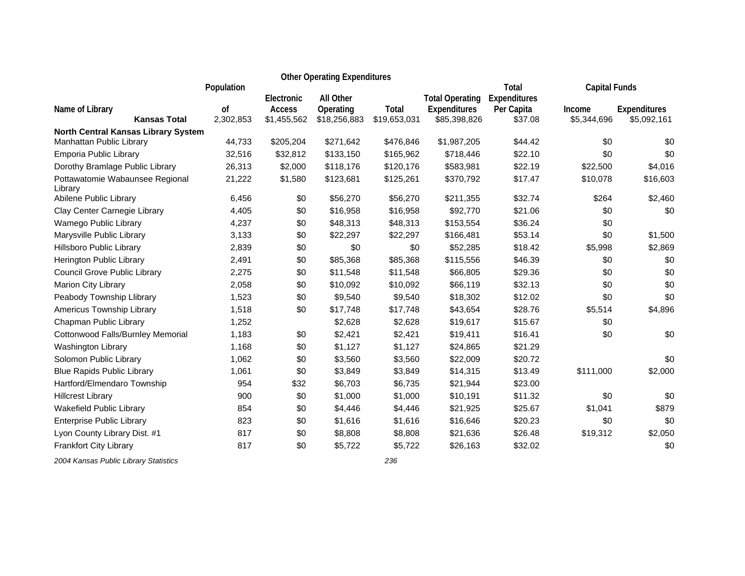|                                            |                            |                                            | <b>Other Operating Expenditures</b>    |                       |                                                        |                                       |                       |                             |
|--------------------------------------------|----------------------------|--------------------------------------------|----------------------------------------|-----------------------|--------------------------------------------------------|---------------------------------------|-----------------------|-----------------------------|
|                                            | Population                 |                                            |                                        |                       |                                                        | Total                                 | <b>Capital Funds</b>  |                             |
| Name of Library<br><b>Kansas Total</b>     | <sub>of</sub><br>2,302,853 | Electronic<br><b>Access</b><br>\$1,455,562 | All Other<br>Operating<br>\$18,256,883 | Total<br>\$19,653,031 | <b>Total Operating</b><br>Expenditures<br>\$85,398,826 | Expenditures<br>Per Capita<br>\$37.08 | Income<br>\$5,344,696 | Expenditures<br>\$5,092,161 |
| North Central Kansas Library System        |                            |                                            |                                        |                       |                                                        |                                       |                       |                             |
| Manhattan Public Library                   | 44,733                     | \$205,204                                  | \$271,642                              | \$476,846             | \$1,987,205                                            | \$44.42                               | \$0                   | \$0                         |
| Emporia Public Library                     | 32,516                     | \$32,812                                   | \$133,150                              | \$165,962             | \$718,446                                              | \$22.10                               | \$0                   | \$0                         |
| Dorothy Bramlage Public Library            | 26,313                     | \$2,000                                    | \$118,176                              | \$120,176             | \$583,981                                              | \$22.19                               | \$22,500              | \$4,016                     |
| Pottawatomie Wabaunsee Regional<br>Library | 21,222                     | \$1,580                                    | \$123,681                              | \$125,261             | \$370,792                                              | \$17.47                               | \$10,078              | \$16,603                    |
| Abilene Public Library                     | 6,456                      | \$0                                        | \$56,270                               | \$56,270              | \$211,355                                              | \$32.74                               | \$264                 | \$2,460                     |
| Clay Center Carnegie Library               | 4,405                      | \$0                                        | \$16,958                               | \$16,958              | \$92,770                                               | \$21.06                               | \$0                   | \$0                         |
| Wamego Public Library                      | 4,237                      | \$0                                        | \$48,313                               | \$48,313              | \$153,554                                              | \$36.24                               | \$0                   |                             |
| Marysville Public Library                  | 3,133                      | \$0                                        | \$22,297                               | \$22,297              | \$166,481                                              | \$53.14                               | \$0                   | \$1,500                     |
| Hillsboro Public Library                   | 2,839                      | \$0                                        | \$0                                    | \$0                   | \$52,285                                               | \$18.42                               | \$5,998               | \$2,869                     |
| Herington Public Library                   | 2,491                      | \$0                                        | \$85,368                               | \$85,368              | \$115,556                                              | \$46.39                               | \$0                   | \$0                         |
| Council Grove Public Library               | 2,275                      | \$0                                        | \$11,548                               | \$11,548              | \$66,805                                               | \$29.36                               | \$0                   | \$0                         |
| Marion City Library                        | 2,058                      | \$0                                        | \$10,092                               | \$10,092              | \$66,119                                               | \$32.13                               | \$0                   | \$0                         |
| Peabody Township Llibrary                  | 1,523                      | \$0                                        | \$9,540                                | \$9,540               | \$18,302                                               | \$12.02                               | \$0                   | \$0                         |
| Americus Township Library                  | 1,518                      | \$0                                        | \$17,748                               | \$17,748              | \$43,654                                               | \$28.76                               | \$5,514               | \$4,896                     |
| Chapman Public Library                     | 1,252                      |                                            | \$2,628                                | \$2,628               | \$19,617                                               | \$15.67                               | \$0                   |                             |
| Cottonwood Falls/Burnley Memorial          | 1,183                      | \$0                                        | \$2,421                                | \$2,421               | \$19,411                                               | \$16.41                               | \$0                   | \$0                         |
| Washington Library                         | 1,168                      | \$0                                        | \$1,127                                | \$1,127               | \$24,865                                               | \$21.29                               |                       |                             |
| Solomon Public Library                     | 1,062                      | \$0                                        | \$3,560                                | \$3,560               | \$22,009                                               | \$20.72                               |                       | \$0                         |
| <b>Blue Rapids Public Library</b>          | 1,061                      | \$0                                        | \$3,849                                | \$3,849               | \$14,315                                               | \$13.49                               | \$111,000             | \$2,000                     |
| Hartford/Elmendaro Township                | 954                        | \$32                                       | \$6,703                                | \$6,735               | \$21,944                                               | \$23.00                               |                       |                             |
| <b>Hillcrest Library</b>                   | 900                        | \$0                                        | \$1,000                                | \$1,000               | \$10,191                                               | \$11.32                               | \$0                   | \$0                         |
| Wakefield Public Library                   | 854                        | \$0                                        | \$4,446                                | \$4,446               | \$21,925                                               | \$25.67                               | \$1,041               | \$879                       |
| <b>Enterprise Public Library</b>           | 823                        | \$0                                        | \$1,616                                | \$1,616               | \$16,646                                               | \$20.23                               | \$0                   | \$0                         |
| Lyon County Library Dist. #1               | 817                        | \$0                                        | \$8,808                                | \$8,808               | \$21,636                                               | \$26.48                               | \$19,312              | \$2,050                     |
| <b>Frankfort City Library</b>              | 817                        | \$0                                        | \$5,722                                | \$5,722               | \$26,163                                               | \$32.02                               |                       | \$0                         |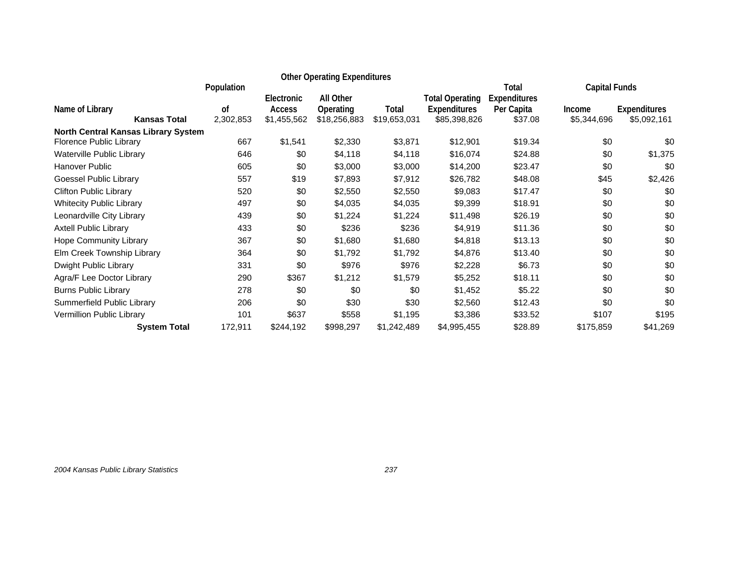|                                     |            |               | <b>Other Operating Expenditures</b> |              |                        |                              |                      |                     |
|-------------------------------------|------------|---------------|-------------------------------------|--------------|------------------------|------------------------------|----------------------|---------------------|
|                                     | Population | Electronic    | All Other                           |              | <b>Total Operating</b> | Total<br><b>Expenditures</b> | <b>Capital Funds</b> |                     |
| Name of Library                     | 0f         | <b>Access</b> | Operating                           | Total        | <b>Expenditures</b>    | Per Capita                   | <b>Income</b>        | <b>Expenditures</b> |
| <b>Kansas Total</b>                 | 2,302,853  | \$1,455,562   | \$18,256,883                        | \$19,653,031 | \$85,398,826           | \$37.08                      | \$5,344,696          | \$5,092,161         |
| North Central Kansas Library System | 667        |               |                                     |              |                        |                              | \$0                  |                     |
| Florence Public Library             |            | \$1,541       | \$2,330                             | \$3,871      | \$12,901               | \$19.34                      |                      | \$0                 |
| Waterville Public Library           | 646        | \$0           | \$4,118                             | \$4,118      | \$16,074               | \$24.88                      | \$0                  | \$1,375             |
| Hanover Public                      | 605        | \$0           | \$3,000                             | \$3,000      | \$14,200               | \$23.47                      | \$0                  | \$0                 |
| Goessel Public Library              | 557        | \$19          | \$7,893                             | \$7,912      | \$26,782               | \$48.08                      | \$45                 | \$2,426             |
| <b>Clifton Public Library</b>       | 520        | \$0           | \$2,550                             | \$2,550      | \$9,083                | \$17.47                      | \$0                  | \$0                 |
| <b>Whitecity Public Library</b>     | 497        | \$0           | \$4,035                             | \$4,035      | \$9,399                | \$18.91                      | \$0                  | \$0                 |
| Leonardville City Library           | 439        | \$0           | \$1,224                             | \$1,224      | \$11,498               | \$26.19                      | \$0                  | \$0                 |
| Axtell Public Library               | 433        | \$0           | \$236                               | \$236        | \$4,919                | \$11.36                      | \$0                  | \$0                 |
| Hope Community Library              | 367        | \$0           | \$1,680                             | \$1,680      | \$4,818                | \$13.13                      | \$0                  | \$0                 |
| Elm Creek Township Library          | 364        | \$0           | \$1,792                             | \$1,792      | \$4,876                | \$13.40                      | \$0                  | \$0                 |
| Dwight Public Library               | 331        | \$0           | \$976                               | \$976        | \$2,228                | \$6.73                       | \$0                  | \$0                 |
| Agra/F Lee Doctor Library           | 290        | \$367         | \$1,212                             | \$1,579      | \$5,252                | \$18.11                      | \$0                  | \$0                 |
| <b>Burns Public Library</b>         | 278        | \$0           | \$0                                 | \$0          | \$1,452                | \$5.22                       | \$0                  | \$0                 |
| Summerfield Public Library          | 206        | \$0           | \$30                                | \$30         | \$2,560                | \$12.43                      | \$0                  | \$0                 |
| Vermillion Public Library           | 101        | \$637         | \$558                               | \$1,195      | \$3,386                | \$33.52                      | \$107                | \$195               |
| <b>System Total</b>                 | 172,911    | \$244,192     | \$998,297                           | \$1,242,489  | \$4,995,455            | \$28.89                      | \$175,859            | \$41,269            |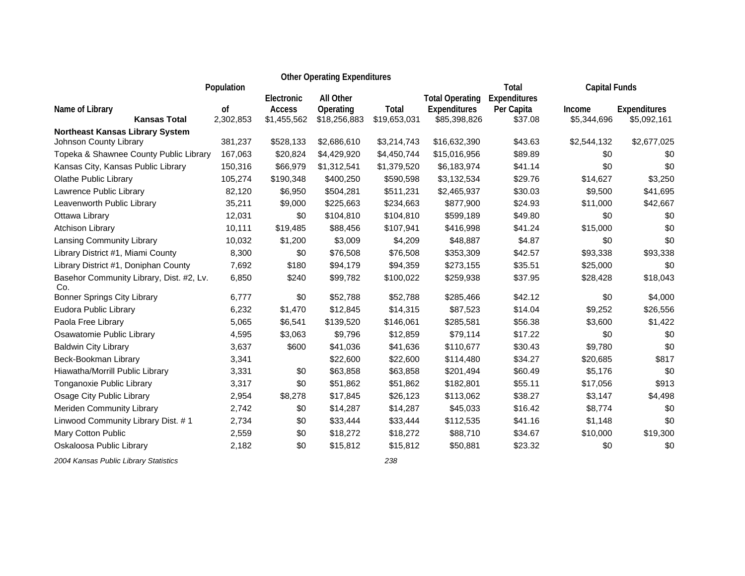|                                                 |                            |                                     | <b>Other Operating Expenditures</b>    |                       |                                                        |                                       |                       |                                    |
|-------------------------------------------------|----------------------------|-------------------------------------|----------------------------------------|-----------------------|--------------------------------------------------------|---------------------------------------|-----------------------|------------------------------------|
|                                                 | Population                 |                                     |                                        |                       |                                                        | Total                                 | <b>Capital Funds</b>  |                                    |
| Name of Library<br><b>Kansas Total</b>          | <sub>of</sub><br>2,302,853 | Electronic<br>Access<br>\$1,455,562 | All Other<br>Operating<br>\$18,256,883 | Total<br>\$19,653,031 | <b>Total Operating</b><br>Expenditures<br>\$85,398,826 | Expenditures<br>Per Capita<br>\$37.08 | Income<br>\$5,344,696 | <b>Expenditures</b><br>\$5,092,161 |
| <b>Northeast Kansas Library System</b>          |                            |                                     |                                        |                       |                                                        |                                       |                       |                                    |
| Johnson County Library                          | 381,237                    | \$528,133                           | \$2,686,610                            | \$3,214,743           | \$16,632,390                                           | \$43.63                               | \$2,544,132           | \$2,677,025                        |
| Topeka & Shawnee County Public Library          | 167,063                    | \$20,824                            | \$4,429,920                            | \$4,450,744           | \$15,016,956                                           | \$89.89                               | \$0                   | \$0                                |
| Kansas City, Kansas Public Library              | 150,316                    | \$66,979                            | \$1,312,541                            | \$1,379,520           | \$6,183,974                                            | \$41.14                               | \$0                   | \$0                                |
| <b>Olathe Public Library</b>                    | 105,274                    | \$190,348                           | \$400,250                              | \$590,598             | \$3,132,534                                            | \$29.76                               | \$14,627              | \$3,250                            |
| Lawrence Public Library                         | 82,120                     | \$6,950                             | \$504,281                              | \$511,231             | \$2,465,937                                            | \$30.03                               | \$9,500               | \$41,695                           |
| Leavenworth Public Library                      | 35,211                     | \$9,000                             | \$225,663                              | \$234,663             | \$877,900                                              | \$24.93                               | \$11,000              | \$42,667                           |
| Ottawa Library                                  | 12,031                     | \$0                                 | \$104,810                              | \$104,810             | \$599,189                                              | \$49.80                               | \$0                   | \$0                                |
| <b>Atchison Library</b>                         | 10,111                     | \$19,485                            | \$88,456                               | \$107,941             | \$416,998                                              | \$41.24                               | \$15,000              | \$0                                |
| Lansing Community Library                       | 10,032                     | \$1,200                             | \$3,009                                | \$4,209               | \$48,887                                               | \$4.87                                | \$0                   | \$0                                |
| Library District #1, Miami County               | 8,300                      | \$0                                 | \$76,508                               | \$76,508              | \$353,309                                              | \$42.57                               | \$93,338              | \$93,338                           |
| Library District #1, Doniphan County            | 7,692                      | \$180                               | \$94,179                               | \$94,359              | \$273,155                                              | \$35.51                               | \$25,000              | \$0                                |
| Basehor Community Library, Dist. #2, Lv.<br>Co. | 6,850                      | \$240                               | \$99,782                               | \$100,022             | \$259,938                                              | \$37.95                               | \$28,428              | \$18,043                           |
| <b>Bonner Springs City Library</b>              | 6,777                      | \$0                                 | \$52,788                               | \$52,788              | \$285,466                                              | \$42.12                               | \$0                   | \$4,000                            |
| Eudora Public Library                           | 6,232                      | \$1,470                             | \$12,845                               | \$14,315              | \$87,523                                               | \$14.04                               | \$9,252               | \$26,556                           |
| Paola Free Library                              | 5,065                      | \$6,541                             | \$139,520                              | \$146,061             | \$285,581                                              | \$56.38                               | \$3,600               | \$1,422                            |
| Osawatomie Public Library                       | 4,595                      | \$3,063                             | \$9,796                                | \$12,859              | \$79,114                                               | \$17.22                               | \$0                   | \$0                                |
| <b>Baldwin City Library</b>                     | 3,637                      | \$600                               | \$41,036                               | \$41,636              | \$110,677                                              | \$30.43                               | \$9,780               | \$0                                |
| Beck-Bookman Library                            | 3,341                      |                                     | \$22,600                               | \$22,600              | \$114,480                                              | \$34.27                               | \$20,685              | \$817                              |
| Hiawatha/Morrill Public Library                 | 3,331                      | \$0                                 | \$63,858                               | \$63,858              | \$201,494                                              | \$60.49                               | \$5,176               | \$0                                |
| Tonganoxie Public Library                       | 3,317                      | \$0                                 | \$51,862                               | \$51,862              | \$182,801                                              | \$55.11                               | \$17,056              | \$913                              |
| Osage City Public Library                       | 2,954                      | \$8,278                             | \$17,845                               | \$26,123              | \$113,062                                              | \$38.27                               | \$3,147               | \$4,498                            |
| Meriden Community Library                       | 2,742                      | \$0                                 | \$14,287                               | \$14,287              | \$45,033                                               | \$16.42                               | \$8,774               | \$0                                |
| Linwood Community Library Dist. #1              | 2,734                      | \$0                                 | \$33,444                               | \$33,444              | \$112,535                                              | \$41.16                               | \$1,148               | \$0                                |
| Mary Cotton Public                              | 2,559                      | \$0                                 | \$18,272                               | \$18,272              | \$88,710                                               | \$34.67                               | \$10,000              | \$19,300                           |
| Oskaloosa Public Library                        | 2,182                      | \$0                                 | \$15,812                               | \$15,812              | \$50,881                                               | \$23.32                               | \$0                   | \$0                                |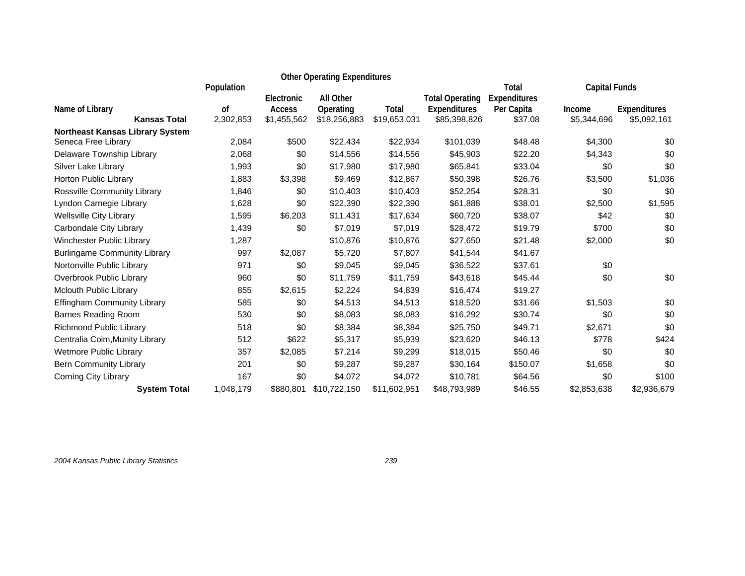|                                        |            |                              | <b>Other Operating Expenditures</b> |              |                                     |                       |                       |                                    |
|----------------------------------------|------------|------------------------------|-------------------------------------|--------------|-------------------------------------|-----------------------|-----------------------|------------------------------------|
|                                        | Population |                              |                                     |              |                                     | Total                 | <b>Capital Funds</b>  |                                    |
|                                        | οf         | Electronic                   | <b>All Other</b>                    | Total        | <b>Total Operating</b>              | Expenditures          |                       |                                    |
| Name of Library<br><b>Kansas Total</b> | 2,302,853  | <b>Access</b><br>\$1,455,562 | Operating<br>\$18,256,883           | \$19,653,031 | <b>Expenditures</b><br>\$85,398,826 | Per Capita<br>\$37.08 | Income<br>\$5,344,696 | <b>Expenditures</b><br>\$5,092,161 |
| <b>Northeast Kansas Library System</b> |            |                              |                                     |              |                                     |                       |                       |                                    |
| Seneca Free Library                    | 2,084      | \$500                        | \$22,434                            | \$22,934     | \$101,039                           | \$48.48               | \$4,300               | \$0                                |
| Delaware Township Library              | 2,068      | \$0                          | \$14,556                            | \$14,556     | \$45,903                            | \$22.20               | \$4,343               | \$0                                |
| Silver Lake Library                    | 1,993      | \$0                          | \$17,980                            | \$17,980     | \$65,841                            | \$33.04               | \$0                   | \$0                                |
| Horton Public Library                  | 1,883      | \$3,398                      | \$9,469                             | \$12,867     | \$50,398                            | \$26.76               | \$3,500               | \$1,036                            |
| Rossville Community Library            | 1,846      | \$0                          | \$10,403                            | \$10,403     | \$52,254                            | \$28.31               | \$0                   | \$0                                |
| Lyndon Carnegie Library                | 1,628      | \$0                          | \$22,390                            | \$22,390     | \$61,888                            | \$38.01               | \$2,500               | \$1,595                            |
| <b>Wellsville City Library</b>         | 1,595      | \$6,203                      | \$11,431                            | \$17,634     | \$60,720                            | \$38.07               | \$42                  | \$0                                |
| Carbondale City Library                | 1,439      | \$0                          | \$7,019                             | \$7,019      | \$28,472                            | \$19.79               | \$700                 | \$0                                |
| Winchester Public Library              | 1,287      |                              | \$10,876                            | \$10,876     | \$27,650                            | \$21.48               | \$2,000               | \$0                                |
| <b>Burlingame Community Library</b>    | 997        | \$2,087                      | \$5,720                             | \$7,807      | \$41,544                            | \$41.67               |                       |                                    |
| Nortonville Public Library             | 971        | \$0                          | \$9,045                             | \$9,045      | \$36,522                            | \$37.61               | \$0                   |                                    |
| Overbrook Public Library               | 960        | \$0                          | \$11,759                            | \$11,759     | \$43,618                            | \$45.44               | \$0                   | \$0                                |
| Mclouth Public Library                 | 855        | \$2,615                      | \$2,224                             | \$4,839      | \$16,474                            | \$19.27               |                       |                                    |
| <b>Effingham Community Library</b>     | 585        | \$0                          | \$4,513                             | \$4,513      | \$18,520                            | \$31.66               | \$1,503               | \$0                                |
| <b>Barnes Reading Room</b>             | 530        | \$0                          | \$8,083                             | \$8,083      | \$16,292                            | \$30.74               | \$0                   | \$0                                |
| Richmond Public Library                | 518        | \$0                          | \$8,384                             | \$8,384      | \$25,750                            | \$49.71               | \$2,671               | \$0                                |
| Centralia Coim, Munity Library         | 512        | \$622                        | \$5,317                             | \$5,939      | \$23,620                            | \$46.13               | \$778                 | \$424                              |
| Wetmore Public Library                 | 357        | \$2,085                      | \$7,214                             | \$9,299      | \$18,015                            | \$50.46               | \$0                   | \$0                                |
| <b>Bern Community Library</b>          | 201        | \$0                          | \$9,287                             | \$9,287      | \$30,164                            | \$150.07              | \$1,658               | \$0                                |
| Corning City Library                   | 167        | \$0                          | \$4,072                             | \$4,072      | \$10,781                            | \$64.56               | \$0                   | \$100                              |
| <b>System Total</b>                    | 1,048,179  | \$880,801                    | \$10,722,150                        | \$11,602,951 | \$48,793,989                        | \$46.55               | \$2,853,638           | \$2,936,679                        |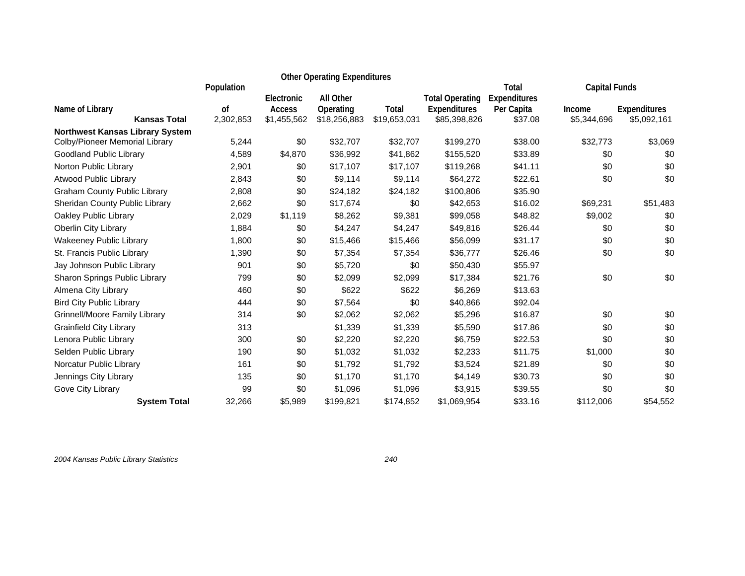|                                        |                            |                       | <b>Other Operating Expenditures</b> |                       |                                     |                       |                       |                                    |
|----------------------------------------|----------------------------|-----------------------|-------------------------------------|-----------------------|-------------------------------------|-----------------------|-----------------------|------------------------------------|
|                                        | Population                 |                       |                                     |                       |                                     | <b>Total</b>          | <b>Capital Funds</b>  |                                    |
|                                        |                            | Electronic            | <b>All Other</b>                    |                       | <b>Total Operating</b>              | Expenditures          |                       |                                    |
| Name of Library<br><b>Kansas Total</b> | <sub>of</sub><br>2,302,853 | Access<br>\$1,455,562 | Operating<br>\$18,256,883           | Total<br>\$19,653,031 | <b>Expenditures</b><br>\$85,398,826 | Per Capita<br>\$37.08 | Income<br>\$5,344,696 | <b>Expenditures</b><br>\$5,092,161 |
| <b>Northwest Kansas Library System</b> |                            |                       |                                     |                       |                                     |                       |                       |                                    |
| Colby/Pioneer Memorial Library         | 5,244                      | \$0                   | \$32,707                            | \$32,707              | \$199,270                           | \$38.00               | \$32,773              | \$3,069                            |
| Goodland Public Library                | 4,589                      | \$4,870               | \$36,992                            | \$41,862              | \$155,520                           | \$33.89               | \$0                   | \$0                                |
| Norton Public Library                  | 2,901                      | \$0                   | \$17,107                            | \$17,107              | \$119,268                           | \$41.11               | \$0                   | \$0                                |
| <b>Atwood Public Library</b>           | 2,843                      | \$0                   | \$9,114                             | \$9,114               | \$64,272                            | \$22.61               | \$0                   | \$0                                |
| <b>Graham County Public Library</b>    | 2,808                      | \$0                   | \$24,182                            | \$24,182              | \$100,806                           | \$35.90               |                       |                                    |
| Sheridan County Public Library         | 2,662                      | \$0                   | \$17,674                            | \$0                   | \$42,653                            | \$16.02               | \$69,231              | \$51,483                           |
| Oakley Public Library                  | 2,029                      | \$1,119               | \$8,262                             | \$9,381               | \$99,058                            | \$48.82               | \$9,002               | \$0                                |
| Oberlin City Library                   | 1,884                      | \$0                   | \$4,247                             | \$4,247               | \$49,816                            | \$26.44               | \$0                   | \$0                                |
| <b>Wakeeney Public Library</b>         | 1,800                      | \$0                   | \$15,466                            | \$15,466              | \$56,099                            | \$31.17               | \$0                   | \$0                                |
| St. Francis Public Library             | 1,390                      | \$0                   | \$7,354                             | \$7,354               | \$36,777                            | \$26.46               | \$0                   | \$0                                |
| Jay Johnson Public Library             | 901                        | \$0                   | \$5,720                             | \$0                   | \$50,430                            | \$55.97               |                       |                                    |
| Sharon Springs Public Library          | 799                        | \$0                   | \$2,099                             | \$2,099               | \$17,384                            | \$21.76               | \$0                   | \$0                                |
| Almena City Library                    | 460                        | \$0                   | \$622                               | \$622                 | \$6,269                             | \$13.63               |                       |                                    |
| <b>Bird City Public Library</b>        | 444                        | \$0                   | \$7,564                             | \$0                   | \$40,866                            | \$92.04               |                       |                                    |
| <b>Grinnell/Moore Family Library</b>   | 314                        | \$0                   | \$2,062                             | \$2,062               | \$5,296                             | \$16.87               | \$0                   | \$0                                |
| <b>Grainfield City Library</b>         | 313                        |                       | \$1,339                             | \$1,339               | \$5,590                             | \$17.86               | \$0                   | \$0                                |
| Lenora Public Library                  | 300                        | \$0                   | \$2,220                             | \$2,220               | \$6,759                             | \$22.53               | \$0                   | \$0                                |
| Selden Public Library                  | 190                        | \$0                   | \$1,032                             | \$1,032               | \$2,233                             | \$11.75               | \$1,000               | \$0                                |
| Norcatur Public Library                | 161                        | \$0                   | \$1,792                             | \$1,792               | \$3,524                             | \$21.89               | \$0                   | \$0                                |
| Jennings City Library                  | 135                        | \$0                   | \$1,170                             | \$1,170               | \$4,149                             | \$30.73               | \$0                   | \$0                                |
| Gove City Library                      | 99                         | \$0                   | \$1,096                             | \$1,096               | \$3,915                             | \$39.55               | \$0                   | \$0                                |
| <b>System Total</b>                    | 32,266                     | \$5,989               | \$199,821                           | \$174,852             | \$1,069,954                         | \$33.16               | \$112,006             | \$54,552                           |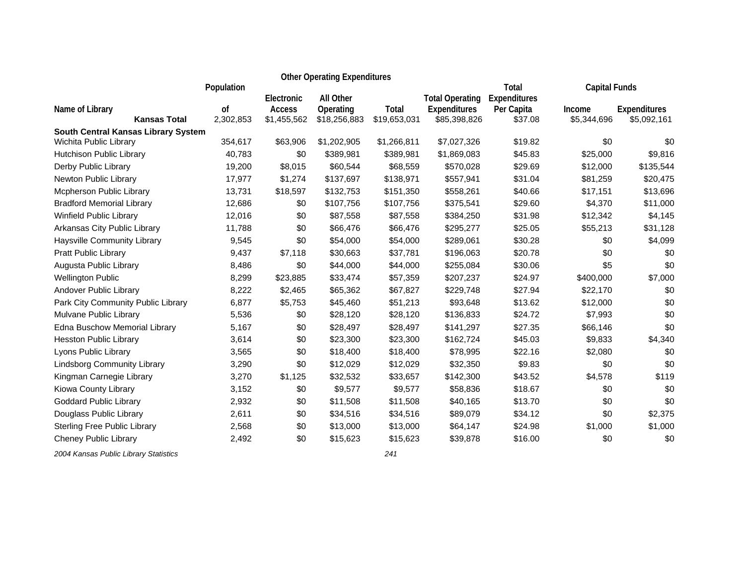|                                        |                            |                                     | <b>Other Operating Expenditures</b>           |                       |                                                        |                                       |                       |                                    |
|----------------------------------------|----------------------------|-------------------------------------|-----------------------------------------------|-----------------------|--------------------------------------------------------|---------------------------------------|-----------------------|------------------------------------|
|                                        | Population                 |                                     |                                               |                       |                                                        | <b>Total</b>                          | <b>Capital Funds</b>  |                                    |
| Name of Library<br><b>Kansas Total</b> | <sub>of</sub><br>2,302,853 | Electronic<br>Access<br>\$1,455,562 | <b>All Other</b><br>Operating<br>\$18,256,883 | Total<br>\$19,653,031 | <b>Total Operating</b><br>Expenditures<br>\$85,398,826 | Expenditures<br>Per Capita<br>\$37.08 | Income<br>\$5,344,696 | <b>Expenditures</b><br>\$5,092,161 |
| South Central Kansas Library System    |                            |                                     |                                               |                       |                                                        |                                       |                       |                                    |
| Wichita Public Library                 | 354,617                    | \$63,906                            | \$1,202,905                                   | \$1,266,811           | \$7,027,326                                            | \$19.82                               | \$0                   | \$0                                |
| Hutchison Public Library               | 40,783                     | \$0                                 | \$389,981                                     | \$389,981             | \$1,869,083                                            | \$45.83                               | \$25,000              | \$9,816                            |
| Derby Public Library                   | 19,200                     | \$8,015                             | \$60,544                                      | \$68,559              | \$570,028                                              | \$29.69                               | \$12,000              | \$135,544                          |
| Newton Public Library                  | 17,977                     | \$1,274                             | \$137,697                                     | \$138,971             | \$557,941                                              | \$31.04                               | \$81,259              | \$20,475                           |
| Mcpherson Public Library               | 13,731                     | \$18,597                            | \$132,753                                     | \$151,350             | \$558,261                                              | \$40.66                               | \$17,151              | \$13,696                           |
| <b>Bradford Memorial Library</b>       | 12,686                     | \$0                                 | \$107,756                                     | \$107,756             | \$375,541                                              | \$29.60                               | \$4,370               | \$11,000                           |
| Winfield Public Library                | 12,016                     | \$0                                 | \$87,558                                      | \$87,558              | \$384,250                                              | \$31.98                               | \$12,342              | \$4,145                            |
| Arkansas City Public Library           | 11,788                     | \$0                                 | \$66,476                                      | \$66,476              | \$295,277                                              | \$25.05                               | \$55,213              | \$31,128                           |
| Haysville Community Library            | 9,545                      | \$0                                 | \$54,000                                      | \$54,000              | \$289,061                                              | \$30.28                               | \$0                   | \$4,099                            |
| <b>Pratt Public Library</b>            | 9,437                      | \$7,118                             | \$30,663                                      | \$37,781              | \$196,063                                              | \$20.78                               | \$0                   | \$0                                |
| Augusta Public Library                 | 8,486                      | \$0                                 | \$44,000                                      | \$44,000              | \$255,084                                              | \$30.06                               | \$5                   | \$0                                |
| <b>Wellington Public</b>               | 8,299                      | \$23,885                            | \$33,474                                      | \$57,359              | \$207,237                                              | \$24.97                               | \$400,000             | \$7,000                            |
| Andover Public Library                 | 8,222                      | \$2,465                             | \$65,362                                      | \$67,827              | \$229,748                                              | \$27.94                               | \$22,170              | \$0                                |
| Park City Community Public Library     | 6,877                      | \$5,753                             | \$45,460                                      | \$51,213              | \$93,648                                               | \$13.62                               | \$12,000              | \$0                                |
| Mulvane Public Library                 | 5,536                      | \$0                                 | \$28,120                                      | \$28,120              | \$136,833                                              | \$24.72                               | \$7,993               | \$0                                |
| Edna Buschow Memorial Library          | 5,167                      | \$0                                 | \$28,497                                      | \$28,497              | \$141,297                                              | \$27.35                               | \$66,146              | \$0                                |
| <b>Hesston Public Library</b>          | 3,614                      | \$0                                 | \$23,300                                      | \$23,300              | \$162,724                                              | \$45.03                               | \$9,833               | \$4,340                            |
| Lyons Public Library                   | 3,565                      | \$0                                 | \$18,400                                      | \$18,400              | \$78,995                                               | \$22.16                               | \$2,080               | \$0                                |
| <b>Lindsborg Community Library</b>     | 3,290                      | \$0                                 | \$12,029                                      | \$12,029              | \$32,350                                               | \$9.83                                | \$0                   | \$0                                |
| Kingman Carnegie Library               | 3,270                      | \$1,125                             | \$32,532                                      | \$33,657              | \$142,300                                              | \$43.52                               | \$4,578               | \$119                              |
| Kiowa County Library                   | 3,152                      | \$0                                 | \$9,577                                       | \$9,577               | \$58,836                                               | \$18.67                               | \$0                   | \$0                                |
| <b>Goddard Public Library</b>          | 2,932                      | \$0                                 | \$11,508                                      | \$11,508              | \$40,165                                               | \$13.70                               | \$0                   | \$0                                |
| Douglass Public Library                | 2,611                      | \$0                                 | \$34,516                                      | \$34,516              | \$89,079                                               | \$34.12                               | \$0                   | \$2,375                            |
| <b>Sterling Free Public Library</b>    | 2,568                      | \$0                                 | \$13,000                                      | \$13,000              | \$64,147                                               | \$24.98                               | \$1,000               | \$1,000                            |
| Cheney Public Library                  | 2,492                      | \$0                                 | \$15,623                                      | \$15,623              | \$39,878                                               | \$16.00                               | \$0                   | \$0                                |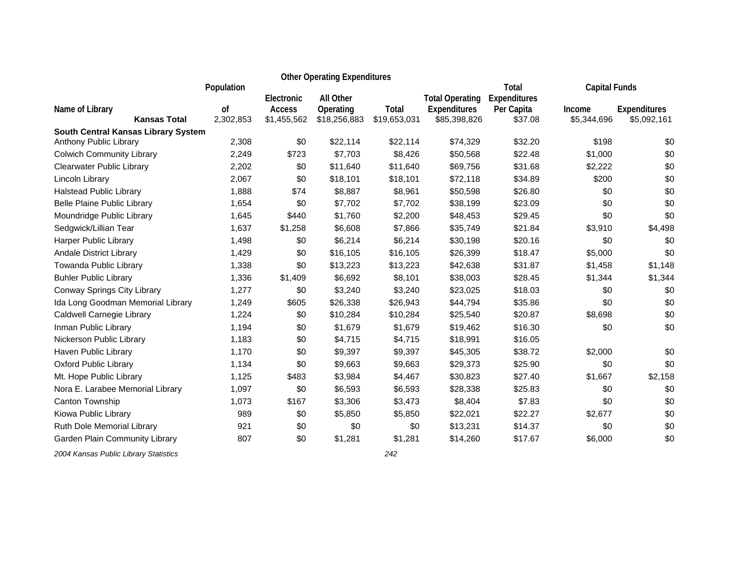|                                        |                 |                                            | <b>Other Operating Expenditures</b>    |                       |                                                        |                                       |                       |                                    |
|----------------------------------------|-----------------|--------------------------------------------|----------------------------------------|-----------------------|--------------------------------------------------------|---------------------------------------|-----------------------|------------------------------------|
|                                        | Population      |                                            |                                        |                       |                                                        | Total                                 | <b>Capital Funds</b>  |                                    |
| Name of Library<br><b>Kansas Total</b> | 0f<br>2,302,853 | Electronic<br><b>Access</b><br>\$1,455,562 | All Other<br>Operating<br>\$18,256,883 | Total<br>\$19,653,031 | <b>Total Operating</b><br>Expenditures<br>\$85,398,826 | Expenditures<br>Per Capita<br>\$37.08 | Income<br>\$5,344,696 | <b>Expenditures</b><br>\$5,092,161 |
| South Central Kansas Library System    |                 |                                            |                                        |                       |                                                        |                                       |                       |                                    |
| Anthony Public Library                 | 2,308           | \$0                                        | \$22,114                               | \$22,114              | \$74,329                                               | \$32.20                               | \$198                 | \$0                                |
| <b>Colwich Community Library</b>       | 2,249           | \$723                                      | \$7,703                                | \$8,426               | \$50,568                                               | \$22.48                               | \$1,000               | \$0                                |
| Clearwater Public Library              | 2,202           | \$0                                        | \$11,640                               | \$11,640              | \$69,756                                               | \$31.68                               | \$2,222               | \$0                                |
| Lincoln Library                        | 2,067           | \$0                                        | \$18,101                               | \$18,101              | \$72,118                                               | \$34.89                               | \$200                 | \$0                                |
| <b>Halstead Public Library</b>         | 1,888           | \$74                                       | \$8,887                                | \$8,961               | \$50,598                                               | \$26.80                               | \$0                   | \$0                                |
| <b>Belle Plaine Public Library</b>     | 1,654           | \$0                                        | \$7,702                                | \$7,702               | \$38,199                                               | \$23.09                               | \$0                   | \$0                                |
| Moundridge Public Library              | 1,645           | \$440                                      | \$1,760                                | \$2,200               | \$48,453                                               | \$29.45                               | \$0                   | \$0                                |
| Sedgwick/Lillian Tear                  | 1,637           | \$1,258                                    | \$6,608                                | \$7,866               | \$35,749                                               | \$21.84                               | \$3,910               | \$4,498                            |
| <b>Harper Public Library</b>           | 1,498           | \$0                                        | \$6,214                                | \$6,214               | \$30,198                                               | \$20.16                               | \$0                   | \$0                                |
| Andale District Library                | 1,429           | \$0                                        | \$16,105                               | \$16,105              | \$26,399                                               | \$18.47                               | \$5,000               | \$0                                |
| Towanda Public Library                 | 1,338           | \$0                                        | \$13,223                               | \$13,223              | \$42,638                                               | \$31.87                               | \$1,458               | \$1,148                            |
| <b>Buhler Public Library</b>           | 1,336           | \$1,409                                    | \$6,692                                | \$8,101               | \$38,003                                               | \$28.45                               | \$1,344               | \$1,344                            |
| Conway Springs City Library            | 1,277           | \$0                                        | \$3,240                                | \$3,240               | \$23,025                                               | \$18.03                               | \$0                   | \$0                                |
| Ida Long Goodman Memorial Library      | 1,249           | \$605                                      | \$26,338                               | \$26,943              | \$44,794                                               | \$35.86                               | \$0                   | \$0                                |
| Caldwell Carnegie Library              | 1,224           | \$0                                        | \$10,284                               | \$10,284              | \$25,540                                               | \$20.87                               | \$8,698               | \$0                                |
| Inman Public Library                   | 1,194           | \$0                                        | \$1,679                                | \$1,679               | \$19,462                                               | \$16.30                               | \$0                   | \$0                                |
| Nickerson Public Library               | 1,183           | \$0                                        | \$4,715                                | \$4,715               | \$18,991                                               | \$16.05                               |                       |                                    |
| Haven Public Library                   | 1,170           | \$0                                        | \$9,397                                | \$9,397               | \$45,305                                               | \$38.72                               | \$2,000               | \$0                                |
| <b>Oxford Public Library</b>           | 1,134           | \$0                                        | \$9,663                                | \$9,663               | \$29,373                                               | \$25.90                               | \$0                   | \$0                                |
| Mt. Hope Public Library                | 1,125           | \$483                                      | \$3,984                                | \$4,467               | \$30,823                                               | \$27.40                               | \$1,667               | \$2,158                            |
| Nora E. Larabee Memorial Library       | 1,097           | \$0                                        | \$6,593                                | \$6,593               | \$28,338                                               | \$25.83                               | \$0                   | \$0                                |
| Canton Township                        | 1,073           | \$167                                      | \$3,306                                | \$3,473               | \$8,404                                                | \$7.83                                | \$0                   | \$0                                |
| Kiowa Public Library                   | 989             | \$0                                        | \$5,850                                | \$5,850               | \$22,021                                               | \$22.27                               | \$2,677               | \$0                                |
| Ruth Dole Memorial Library             | 921             | \$0                                        | \$0                                    | \$0                   | \$13,231                                               | \$14.37                               | \$0                   | \$0                                |
| Garden Plain Community Library         | 807             | \$0                                        | \$1,281                                | \$1,281               | \$14,260                                               | \$17.67                               | \$6,000               | \$0                                |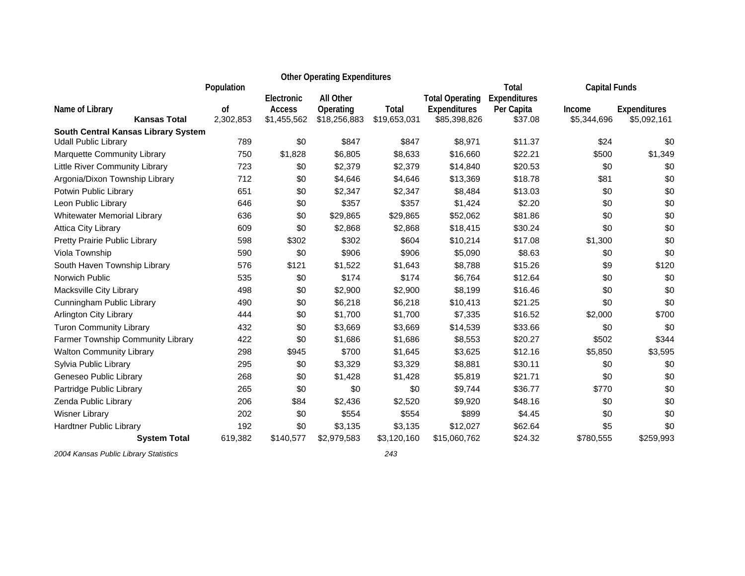|                                        |                 |                              | <b>Other Operating Expenditures</b> |                       |                              |                              |                       |                                    |
|----------------------------------------|-----------------|------------------------------|-------------------------------------|-----------------------|------------------------------|------------------------------|-----------------------|------------------------------------|
|                                        | Population      | Electronic                   | <b>All Other</b>                    |                       | <b>Total Operating</b>       | <b>Total</b><br>Expenditures | <b>Capital Funds</b>  |                                    |
| Name of Library<br><b>Kansas Total</b> | 0f<br>2,302,853 | <b>Access</b><br>\$1,455,562 | Operating<br>\$18,256,883           | Total<br>\$19,653,031 | Expenditures<br>\$85,398,826 | Per Capita<br>\$37.08        | Income<br>\$5,344,696 | <b>Expenditures</b><br>\$5,092,161 |
| South Central Kansas Library System    |                 |                              |                                     |                       |                              |                              |                       |                                    |
| <b>Udall Public Library</b>            | 789             | \$0                          | \$847                               | \$847                 | \$8,971                      | \$11.37                      | \$24                  | \$0                                |
| Marquette Community Library            | 750             | \$1,828                      | \$6,805                             | \$8,633               | \$16,660                     | \$22.21                      | \$500                 | \$1,349                            |
| Little River Community Library         | 723             | \$0                          | \$2,379                             | \$2,379               | \$14,840                     | \$20.53                      | \$0                   | \$0                                |
| Argonia/Dixon Township Library         | 712             | \$0                          | \$4,646                             | \$4,646               | \$13,369                     | \$18.78                      | \$81                  | \$0                                |
| Potwin Public Library                  | 651             | \$0                          | \$2,347                             | \$2,347               | \$8,484                      | \$13.03                      | \$0                   | \$0                                |
| Leon Public Library                    | 646             | \$0                          | \$357                               | \$357                 | \$1,424                      | \$2.20                       | \$0                   | \$0                                |
| <b>Whitewater Memorial Library</b>     | 636             | \$0                          | \$29,865                            | \$29,865              | \$52,062                     | \$81.86                      | \$0                   | \$0                                |
| Attica City Library                    | 609             | \$0                          | \$2,868                             | \$2,868               | \$18,415                     | \$30.24                      | \$0                   | \$0                                |
| Pretty Prairie Public Library          | 598             | \$302                        | \$302                               | \$604                 | \$10,214                     | \$17.08                      | \$1,300               | \$0                                |
| Viola Township                         | 590             | \$0                          | \$906                               | \$906                 | \$5,090                      | \$8.63                       | \$0                   | \$0                                |
| South Haven Township Library           | 576             | \$121                        | \$1,522                             | \$1,643               | \$8,788                      | \$15.26                      | \$9                   | \$120                              |
| Norwich Public                         | 535             | \$0                          | \$174                               | \$174                 | \$6,764                      | \$12.64                      | \$0                   | \$0                                |
| Macksville City Library                | 498             | \$0                          | \$2,900                             | \$2,900               | \$8,199                      | \$16.46                      | \$0                   | \$0                                |
| Cunningham Public Library              | 490             | \$0                          | \$6,218                             | \$6,218               | \$10,413                     | \$21.25                      | \$0                   | \$0                                |
| <b>Arlington City Library</b>          | 444             | \$0                          | \$1,700                             | \$1,700               | \$7,335                      | \$16.52                      | \$2,000               | \$700                              |
| <b>Turon Community Library</b>         | 432             | \$0                          | \$3,669                             | \$3,669               | \$14,539                     | \$33.66                      | \$0                   | \$0                                |
| Farmer Township Community Library      | 422             | \$0                          | \$1,686                             | \$1,686               | \$8,553                      | \$20.27                      | \$502                 | \$344                              |
| <b>Walton Community Library</b>        | 298             | \$945                        | \$700                               | \$1,645               | \$3,625                      | \$12.16                      | \$5,850               | \$3,595                            |
| Sylvia Public Library                  | 295             | \$0                          | \$3,329                             | \$3,329               | \$8,881                      | \$30.11                      | \$0                   | \$0                                |
| Geneseo Public Library                 | 268             | \$0                          | \$1,428                             | \$1,428               | \$5,819                      | \$21.71                      | \$0                   | \$0                                |
| Partridge Public Library               | 265             | \$0                          | \$0                                 | \$0                   | \$9,744                      | \$36.77                      | \$770                 | \$0                                |
| Zenda Public Library                   | 206             | \$84                         | \$2,436                             | \$2,520               | \$9,920                      | \$48.16                      | \$0                   | \$0                                |
| <b>Wisner Library</b>                  | 202             | \$0                          | \$554                               | \$554                 | \$899                        | \$4.45                       | \$0                   | \$0                                |
| <b>Hardtner Public Library</b>         | 192             | \$0                          | \$3,135                             | \$3,135               | \$12,027                     | \$62.64                      | \$5                   | \$0                                |
| <b>System Total</b>                    | 619,382         | \$140,577                    | \$2,979,583                         | \$3,120,160           | \$15,060,762                 | \$24.32                      | \$780,555             | \$259,993                          |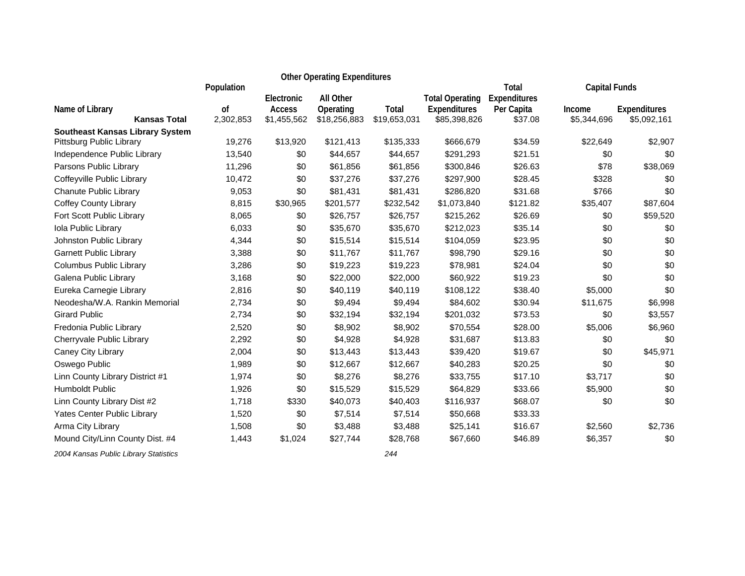|                                        |                            |                              | <b>Other Operating Expenditures</b> |                       |                              |                              |                       |                                    |
|----------------------------------------|----------------------------|------------------------------|-------------------------------------|-----------------------|------------------------------|------------------------------|-----------------------|------------------------------------|
|                                        | Population                 | Electronic                   | All Other                           |                       | <b>Total Operating</b>       | <b>Total</b><br>Expenditures | <b>Capital Funds</b>  |                                    |
| Name of Library<br><b>Kansas Total</b> | <sub>of</sub><br>2,302,853 | <b>Access</b><br>\$1,455,562 | Operating<br>\$18,256,883           | Total<br>\$19,653,031 | Expenditures<br>\$85,398,826 | Per Capita<br>\$37.08        | Income<br>\$5,344,696 | <b>Expenditures</b><br>\$5,092,161 |
| <b>Southeast Kansas Library System</b> |                            |                              |                                     |                       |                              |                              |                       |                                    |
| Pittsburg Public Library               | 19,276                     | \$13,920                     | \$121,413                           | \$135,333             | \$666,679                    | \$34.59                      | \$22,649              | \$2,907                            |
| Independence Public Library            | 13,540                     | \$0                          | \$44,657                            | \$44,657              | \$291,293                    | \$21.51                      | \$0                   | \$0                                |
| Parsons Public Library                 | 11,296                     | \$0                          | \$61,856                            | \$61,856              | \$300,846                    | \$26.63                      | \$78                  | \$38,069                           |
| Coffeyville Public Library             | 10,472                     | \$0                          | \$37,276                            | \$37,276              | \$297,900                    | \$28.45                      | \$328                 | \$0                                |
| Chanute Public Library                 | 9,053                      | \$0                          | \$81,431                            | \$81,431              | \$286,820                    | \$31.68                      | \$766                 | \$0                                |
| <b>Coffey County Library</b>           | 8,815                      | \$30,965                     | \$201,577                           | \$232,542             | \$1,073,840                  | \$121.82                     | \$35,407              | \$87,604                           |
| Fort Scott Public Library              | 8,065                      | \$0                          | \$26,757                            | \$26,757              | \$215,262                    | \$26.69                      | \$0                   | \$59,520                           |
| Iola Public Library                    | 6,033                      | \$0                          | \$35,670                            | \$35,670              | \$212,023                    | \$35.14                      | \$0                   | \$0                                |
| Johnston Public Library                | 4,344                      | \$0                          | \$15,514                            | \$15,514              | \$104,059                    | \$23.95                      | \$0                   | \$0                                |
| <b>Garnett Public Library</b>          | 3,388                      | \$0                          | \$11,767                            | \$11,767              | \$98,790                     | \$29.16                      | \$0                   | \$0                                |
| Columbus Public Library                | 3,286                      | \$0                          | \$19,223                            | \$19,223              | \$78,981                     | \$24.04                      | \$0                   | \$0                                |
| Galena Public Library                  | 3,168                      | \$0                          | \$22,000                            | \$22,000              | \$60,922                     | \$19.23                      | \$0                   | \$0                                |
| Eureka Carnegie Library                | 2,816                      | \$0                          | \$40,119                            | \$40,119              | \$108,122                    | \$38.40                      | \$5,000               | \$0                                |
| Neodesha/W.A. Rankin Memorial          | 2,734                      | \$0                          | \$9,494                             | \$9,494               | \$84,602                     | \$30.94                      | \$11,675              | \$6,998                            |
| <b>Girard Public</b>                   | 2,734                      | \$0                          | \$32,194                            | \$32,194              | \$201,032                    | \$73.53                      | \$0                   | \$3,557                            |
| Fredonia Public Library                | 2,520                      | \$0                          | \$8,902                             | \$8,902               | \$70,554                     | \$28.00                      | \$5,006               | \$6,960                            |
| Cherryvale Public Library              | 2,292                      | \$0                          | \$4,928                             | \$4,928               | \$31,687                     | \$13.83                      | \$0                   | \$0                                |
| Caney City Library                     | 2,004                      | \$0                          | \$13,443                            | \$13,443              | \$39,420                     | \$19.67                      | \$0                   | \$45,971                           |
| Oswego Public                          | 1,989                      | \$0                          | \$12,667                            | \$12,667              | \$40,283                     | \$20.25                      | \$0                   | \$0                                |
| Linn County Library District #1        | 1,974                      | \$0                          | \$8,276                             | \$8,276               | \$33,755                     | \$17.10                      | \$3,717               | \$0                                |
| <b>Humboldt Public</b>                 | 1,926                      | \$0                          | \$15,529                            | \$15,529              | \$64,829                     | \$33.66                      | \$5,900               | \$0                                |
| Linn County Library Dist #2            | 1,718                      | \$330                        | \$40,073                            | \$40,403              | \$116,937                    | \$68.07                      | \$0                   | \$0                                |
| Yates Center Public Library            | 1,520                      | \$0                          | \$7,514                             | \$7,514               | \$50,668                     | \$33.33                      |                       |                                    |
| Arma City Library                      | 1,508                      | \$0                          | \$3,488                             | \$3,488               | \$25,141                     | \$16.67                      | \$2,560               | \$2,736                            |
| Mound City/Linn County Dist. #4        | 1,443                      | \$1,024                      | \$27,744                            | \$28,768              | \$67,660                     | \$46.89                      | \$6,357               | \$0                                |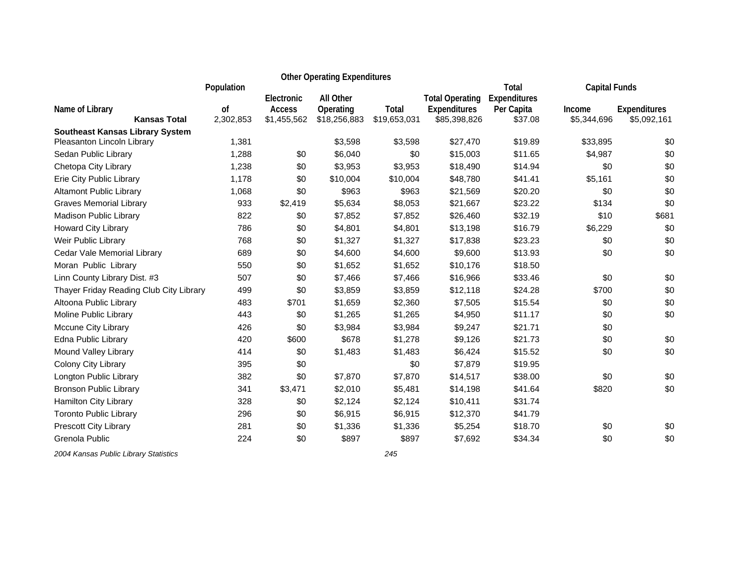|                                         |                 | <b>Other Operating Expenditures</b> |                           |                       |                                     |                       |                       |                             |
|-----------------------------------------|-----------------|-------------------------------------|---------------------------|-----------------------|-------------------------------------|-----------------------|-----------------------|-----------------------------|
|                                         | Population      | Electronic                          | <b>All Other</b>          |                       | <b>Total Operating</b>              | Total<br>Expenditures | <b>Capital Funds</b>  |                             |
| Name of Library<br><b>Kansas Total</b>  | 0f<br>2,302,853 | Access<br>\$1,455,562               | Operating<br>\$18,256,883 | Total<br>\$19,653,031 | <b>Expenditures</b><br>\$85,398,826 | Per Capita<br>\$37.08 | Income<br>\$5,344,696 | Expenditures<br>\$5,092,161 |
| <b>Southeast Kansas Library System</b>  |                 |                                     |                           |                       |                                     |                       |                       |                             |
| Pleasanton Lincoln Library              | 1,381           |                                     | \$3,598                   | \$3,598               | \$27,470                            | \$19.89               | \$33,895              | \$0                         |
| Sedan Public Library                    | 1,288           | \$0                                 | \$6,040                   | \$0                   | \$15,003                            | \$11.65               | \$4,987               | \$0                         |
| Chetopa City Library                    | 1,238           | \$0                                 | \$3,953                   | \$3,953               | \$18,490                            | \$14.94               | \$0                   | \$0                         |
| Erie City Public Library                | 1,178           | \$0                                 | \$10,004                  | \$10,004              | \$48,780                            | \$41.41               | \$5,161               | \$0                         |
| <b>Altamont Public Library</b>          | 1,068           | \$0                                 | \$963                     | \$963                 | \$21,569                            | \$20.20               | \$0                   | \$0                         |
| <b>Graves Memorial Library</b>          | 933             | \$2,419                             | \$5,634                   | \$8,053               | \$21,667                            | \$23.22               | \$134                 | \$0                         |
| Madison Public Library                  | 822             | \$0                                 | \$7,852                   | \$7,852               | \$26,460                            | \$32.19               | \$10                  | \$681                       |
| <b>Howard City Library</b>              | 786             | \$0                                 | \$4,801                   | \$4,801               | \$13,198                            | \$16.79               | \$6,229               | \$0                         |
| Weir Public Library                     | 768             | \$0                                 | \$1,327                   | \$1,327               | \$17,838                            | \$23.23               | \$0                   | \$0                         |
| Cedar Vale Memorial Library             | 689             | \$0                                 | \$4,600                   | \$4,600               | \$9,600                             | \$13.93               | \$0                   | \$0                         |
| Moran Public Library                    | 550             | \$0                                 | \$1,652                   | \$1,652               | \$10,176                            | \$18.50               |                       |                             |
| Linn County Library Dist. #3            | 507             | \$0                                 | \$7,466                   | \$7,466               | \$16,966                            | \$33.46               | \$0                   | \$0                         |
| Thayer Friday Reading Club City Library | 499             | \$0                                 | \$3,859                   | \$3,859               | \$12,118                            | \$24.28               | \$700                 | \$0                         |
| Altoona Public Library                  | 483             | \$701                               | \$1,659                   | \$2,360               | \$7,505                             | \$15.54               | \$0                   | \$0                         |
| Moline Public Library                   | 443             | \$0                                 | \$1,265                   | \$1,265               | \$4,950                             | \$11.17               | \$0                   | \$0                         |
| Mccune City Library                     | 426             | \$0                                 | \$3,984                   | \$3,984               | \$9,247                             | \$21.71               | \$0                   |                             |
| Edna Public Library                     | 420             | \$600                               | \$678                     | \$1,278               | \$9,126                             | \$21.73               | \$0                   | \$0                         |
| Mound Valley Library                    | 414             | \$0                                 | \$1,483                   | \$1,483               | \$6,424                             | \$15.52               | \$0                   | \$0                         |
| Colony City Library                     | 395             | \$0                                 |                           | \$0                   | \$7,879                             | \$19.95               |                       |                             |
| Longton Public Library                  | 382             | \$0                                 | \$7,870                   | \$7,870               | \$14,517                            | \$38.00               | \$0                   | \$0                         |
| <b>Bronson Public Library</b>           | 341             | \$3,471                             | \$2,010                   | \$5,481               | \$14,198                            | \$41.64               | \$820                 | \$0                         |
| Hamilton City Library                   | 328             | \$0                                 | \$2,124                   | \$2,124               | \$10,411                            | \$31.74               |                       |                             |
| <b>Toronto Public Library</b>           | 296             | \$0                                 | \$6,915                   | \$6,915               | \$12,370                            | \$41.79               |                       |                             |
| Prescott City Library                   | 281             | \$0                                 | \$1,336                   | \$1,336               | \$5,254                             | \$18.70               | \$0                   | \$0                         |
| Grenola Public                          | 224             | \$0                                 | \$897                     | \$897                 | \$7,692                             | \$34.34               | \$0                   | \$0                         |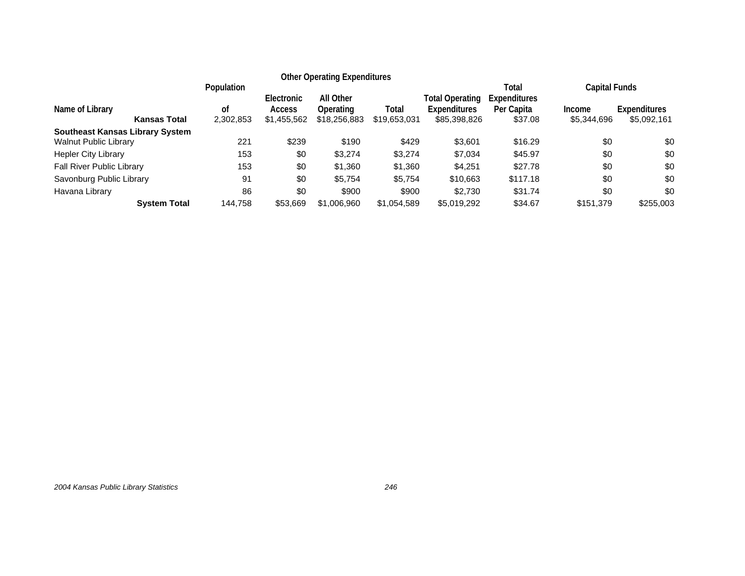|                                        |                     |                               |                                            | <b>Other Operating Expenditures</b>    |                       |                                                        |                                                       |                                        |                             |
|----------------------------------------|---------------------|-------------------------------|--------------------------------------------|----------------------------------------|-----------------------|--------------------------------------------------------|-------------------------------------------------------|----------------------------------------|-----------------------------|
| Name of Library                        | <b>Kansas Total</b> | Population<br>οf<br>2,302,853 | Electronic<br><b>Access</b><br>\$1,455,562 | All Other<br>Operating<br>\$18,256,883 | Total<br>\$19,653,031 | Total Operating<br><b>Expenditures</b><br>\$85,398,826 | Total<br><b>Expenditures</b><br>Per Capita<br>\$37.08 | Capital Funds<br>Income<br>\$5,344,696 | Expenditures<br>\$5,092,161 |
| <b>Southeast Kansas Library System</b> |                     |                               |                                            |                                        |                       |                                                        |                                                       |                                        |                             |
| <b>Walnut Public Library</b>           |                     | 221                           | \$239                                      | \$190                                  | \$429                 | \$3,601                                                | \$16.29                                               | \$0                                    | \$0                         |
| <b>Hepler City Library</b>             |                     | 153                           | \$0                                        | \$3,274                                | \$3,274               | \$7,034                                                | \$45.97                                               | \$0                                    | \$0                         |
| Fall River Public Library              |                     | 153                           | \$0                                        | \$1,360                                | \$1,360               | \$4,251                                                | \$27.78                                               | \$0                                    | \$0                         |
| Savonburg Public Library               |                     | 91                            | \$0                                        | \$5,754                                | \$5,754               | \$10,663                                               | \$117.18                                              | \$0                                    | \$0                         |
| Havana Library                         |                     | 86                            | \$0                                        | \$900                                  | \$900                 | \$2,730                                                | \$31.74                                               | \$0                                    | \$0                         |
|                                        | <b>System Total</b> | 144,758                       | \$53,669                                   | \$1,006,960                            | \$1,054,589           | \$5,019,292                                            | \$34.67                                               | \$151.379                              | \$255,003                   |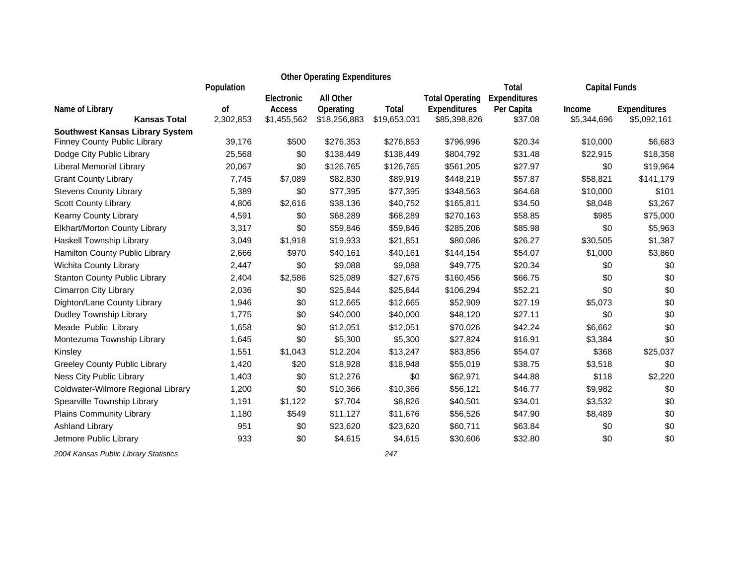| <b>Other Operating Expenditures</b>                                    |               |                             |                        |              |                                        |                            |                      |                     |
|------------------------------------------------------------------------|---------------|-----------------------------|------------------------|--------------|----------------------------------------|----------------------------|----------------------|---------------------|
|                                                                        | Population    |                             |                        |              |                                        | Total                      | <b>Capital Funds</b> |                     |
| Name of Library                                                        | <sub>of</sub> | Electronic<br><b>Access</b> | All Other<br>Operating | Total        | <b>Total Operating</b><br>Expenditures | Expenditures<br>Per Capita | Income               | <b>Expenditures</b> |
| <b>Kansas Total</b>                                                    | 2,302,853     | \$1,455,562                 | \$18,256,883           | \$19,653,031 | \$85,398,826                           | \$37.08                    | \$5,344,696          | \$5,092,161         |
| <b>Southwest Kansas Library System</b><br>Finney County Public Library | 39,176        | \$500                       | \$276,353              | \$276,853    | \$796,996                              | \$20.34                    | \$10,000             | \$6,683             |
| Dodge City Public Library                                              | 25,568        | \$0                         | \$138,449              | \$138,449    | \$804,792                              | \$31.48                    | \$22,915             | \$18,358            |
| Liberal Memorial Library                                               | 20,067        | \$0                         | \$126,765              | \$126,765    | \$561,205                              | \$27.97                    | \$0                  | \$19,964            |
| <b>Grant County Library</b>                                            | 7,745         | \$7,089                     | \$82,830               | \$89,919     | \$448,219                              | \$57.87                    | \$58,821             | \$141,179           |
| <b>Stevens County Library</b>                                          | 5,389         | \$0                         | \$77,395               | \$77,395     | \$348,563                              | \$64.68                    | \$10,000             | \$101               |
| <b>Scott County Library</b>                                            | 4,806         | \$2,616                     | \$38,136               | \$40,752     | \$165,811                              | \$34.50                    | \$8,048              | \$3,267             |
| Kearny County Library                                                  | 4,591         | \$0                         | \$68,289               | \$68,289     | \$270,163                              | \$58.85                    | \$985                | \$75,000            |
| Elkhart/Morton County Library                                          | 3,317         | \$0                         | \$59,846               | \$59,846     | \$285,206                              | \$85.98                    | \$0                  | \$5,963             |
| Haskell Township Library                                               | 3,049         | \$1,918                     | \$19,933               | \$21,851     | \$80,086                               | \$26.27                    | \$30,505             | \$1,387             |
| Hamilton County Public Library                                         | 2,666         | \$970                       | \$40,161               | \$40,161     | \$144,154                              | \$54.07                    | \$1,000              | \$3,860             |
| <b>Wichita County Library</b>                                          | 2,447         | \$0                         | \$9,088                | \$9,088      | \$49,775                               | \$20.34                    | \$0                  | \$0                 |
| <b>Stanton County Public Library</b>                                   | 2,404         | \$2,586                     | \$25,089               | \$27,675     | \$160,456                              | \$66.75                    | \$0                  | \$0                 |
| Cimarron City Library                                                  | 2,036         | \$0                         | \$25,844               | \$25,844     | \$106,294                              | \$52.21                    | \$0                  | \$0                 |
| Dighton/Lane County Library                                            | 1,946         | \$0                         | \$12,665               | \$12,665     | \$52,909                               | \$27.19                    | \$5,073              | \$0                 |
| Dudley Township Library                                                | 1,775         | \$0                         | \$40,000               | \$40,000     | \$48,120                               | \$27.11                    | \$0                  | \$0                 |
| Meade Public Library                                                   | 1,658         | \$0                         | \$12,051               | \$12,051     | \$70,026                               | \$42.24                    | \$6,662              | \$0                 |
| Montezuma Township Library                                             | 1,645         | \$0                         | \$5,300                | \$5,300      | \$27,824                               | \$16.91                    | \$3,384              | \$0                 |
| Kinsley                                                                | 1,551         | \$1,043                     | \$12,204               | \$13,247     | \$83,856                               | \$54.07                    | \$368                | \$25,037            |
| Greeley County Public Library                                          | 1,420         | \$20                        | \$18,928               | \$18,948     | \$55,019                               | \$38.75                    | \$3,518              | \$0                 |
| Ness City Public Library                                               | 1,403         | \$0                         | \$12,276               | \$0          | \$62,971                               | \$44.88                    | \$118                | \$2,220             |
| Coldwater-Wilmore Regional Library                                     | 1,200         | \$0                         | \$10,366               | \$10,366     | \$56,121                               | \$46.77                    | \$9,982              | \$0                 |
| Spearville Township Library                                            | 1,191         | \$1,122                     | \$7,704                | \$8,826      | \$40,501                               | \$34.01                    | \$3,532              | \$0                 |
| Plains Community Library                                               | 1,180         | \$549                       | \$11,127               | \$11,676     | \$56,526                               | \$47.90                    | \$8,489              | \$0                 |
| Ashland Library                                                        | 951           | \$0                         | \$23,620               | \$23,620     | \$60,711                               | \$63.84                    | \$0                  | \$0                 |
| Jetmore Public Library                                                 | 933           | \$0                         | \$4,615                | \$4,615      | \$30,606                               | \$32.80                    | \$0                  | \$0                 |